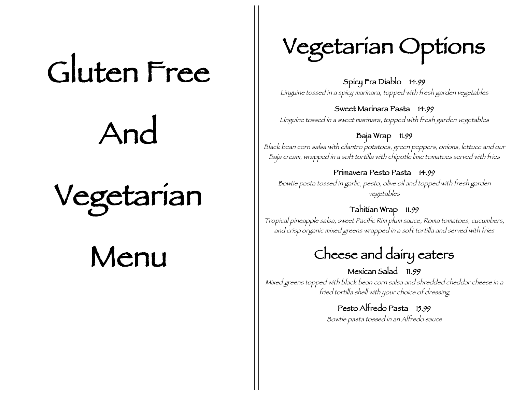# Gluten Free

And

## Vegetarian

## Menu

## Vegetarian Options

Spicy Fra Diablo 14.99 Linguine tossed in a spicy marinara, topped with fresh garden vegetables

Sweet Marinara Pasta 14.99

Linguine tossed in a sweet marinara, topped with fresh garden vegetables

Baja Wrap 11.99 Black bean corn salsa with cilantro potatoes, green peppers, onions, lettuce and our Baja cream, wrapped in a soft tortilla with chipotle lime tomatoes served with fries

Primavera Pesto Pasta 14.99 Bowtie pasta tossed in garlic, pesto, olive oil and topped with fresh garden vegetables

#### Tahitian Wrap 11.99

Tropical pineapple salsa, sweet Pacific Rim plum sauce, Roma tomatoes, cucumbers, and crisp organic mixed greens wrapped in a soft tortilla and served with fries

### Cheese and dairy eaters

Mexican Salad 11.99 Mixed greens topped with black bean corn salsa and shredded cheddar cheese in a fried tortilla shell with your choice of dressing

### Pesto Alfredo Pasta 15.99

Bowtie pasta tossed in an Alfredo sauce